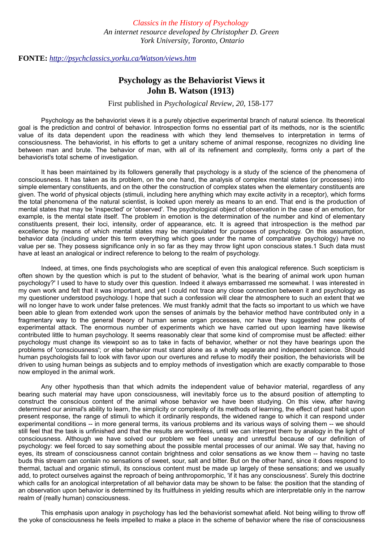**FONTE:** *<http://psychclassics.yorku.ca/Watson/views.htm>*

## **Psychology as the Behaviorist Views it John B. Watson (1913)**

First published in *Psychological Review*, *20*, 158-177

Psychology as the behaviorist views it is a purely objective experimental branch of natural science. Its theoretical goal is the prediction and control of behavior. Introspection forms no essential part of its methods, nor is the scientific value of its data dependent upon the readiness with which they lend themselves to interpretation in terms of consciousness. The behaviorist, in his efforts to get a unitary scheme of animal response, recognizes no dividing line between man and brute. The behavior of man, with all of its refinement and complexity, forms only a part of the behaviorist's total scheme of investigation.

It has been maintained by its followers generally that psychology is a study of the science of the phenomena of consciousness. It has taken as its problem, on the one hand, the analysis of complex mental states (or processes) into simple elementary constituents, and on the other the construction of complex states when the elementary constituents are given. The world of physical objects (stimuli, including here anything which may excite activity in a receptor), which forms the total phenomena of the natural scientist, is looked upon merely as means to an end. That end is the production of mental states that may be 'inspected' or 'observed'. The psychological object of observation in the case of an emotion, for example, is the mental state itself. The problem in emotion is the determination of the number and kind of elementary constituents present, their loci, intensity, order of appearance, etc. It is agreed that introspection is the method par excellence by means of which mental states may be manipulated for purposes of psychology. On this assumption, behavior data (including under this term everything which goes under the name of comparative psychology) have no value per se. They possess significance only in so far as they may throw light upon conscious states.1 Such data must have at least an analogical or indirect reference to belong to the realm of psychology.

Indeed, at times, one finds psychologists who are sceptical of even this analogical reference. Such scepticism is often shown by the question which is put to the student of behavior, 'what is the bearing of animal work upon human psychology?' I used to have to study over this question. Indeed it always embarrassed me somewhat. I was interested in my own work and felt that it was important, and yet I could not trace any close connection between it and psychology as my questioner understood psychology. I hope that such a confession will clear the atmosphere to such an extent that we will no longer have to work under false pretences. We must frankly admit that the facts so important to us which we have been able to glean from extended work upon the senses of animals by the behavior method have contributed only in a fragmentary way to the general theory of human sense organ processes, nor have they suggested new points of experimental attack. The enormous number of experiments which we have carried out upon learning have likewise contributed little to human psychology. It seems reasonably clear that some kind of compromise must be affected: either psychology must change its viewpoint so as to take in facts of behavior, whether or not they have bearings upon the problems of 'consciousness'; or else behavior must stand alone as a wholly separate and independent science. Should human psychologists fail to look with favor upon our overtures and refuse to modify their position, the behaviorists will be driven to using human beings as subjects and to employ methods of investigation which are exactly comparable to those now employed in the animal work.

Any other hypothesis than that which admits the independent value of behavior material, regardless of any bearing such material may have upon consciousness, will inevitably force us to the absurd position of attempting to construct the conscious content of the animal whose behavior we have been studying. On this view, after having determined our animal's ability to learn, the simplicity or complexity of its methods of learning, the effect of past habit upon present response, the range of stimuli to which it ordinarily responds, the widened range to which it can respond under experimental conditions -- in more general terms, its various problems and its various ways of solving them -- we should still feel that the task is unfinished and that the results are worthless, until we can interpret them by analogy in the light of consciousness. Although we have solved our problem we feel uneasy and unrestful because of our definition of psychology: we feel forced to say something about the possible mental processes of our animal. We say that, having no eyes, its stream of consciousness cannot contain brightness and color sensations as we know them -- having no taste buds this stream can contain no sensations of sweet, sour, salt and bitter. But on the other hand, since it does respond to thermal, tactual and organic stimuli, its conscious content must be made up largely of these sensations; and we usually add, to protect ourselves against the reproach of being anthropomorphic, 'if it has any consciousness'. Surely this doctrine which calls for an anological interpretation of all behavior data may be shown to be false: the position that the standing of an observation upon behavior is determined by its fruitfulness in yielding results which are interpretable only in the narrow realm of (really human) consciousness.

This emphasis upon analogy in psychology has led the behaviorist somewhat afield. Not being willing to throw off the yoke of consciousness he feels impelled to make a place in the scheme of behavior where the rise of consciousness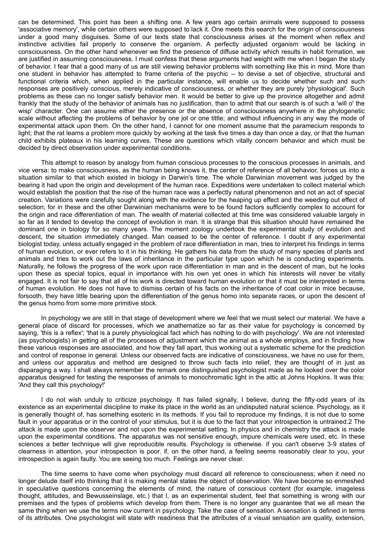can be determined. This point has been a shifting one. A few years ago certain animals were supposed to possess 'associative memory', while certain others were supposed to lack it. One meets this search for the origin of consciousness under a good many disguises. Some of our texts state that consciousness arises at the moment when reflex and instinctive activities fail properly to conserve the organism. A perfectly adjusted organism would be lacking in consciousness. On the other hand whenever we find the presence of diffuse activity which results in habit formation, we are justified in assuming consciousness. I must confess that these arguments had weight with me when I began the study of behavior. I fear that a good many of us are still viewing behavior problems with something like this in mind. More than one student in behavior has attempted to frame criteria of the psychic -- to devise a set of objective, structural and functional criteria which, when applied in the particular instance, will enable us to decide whether such and such responses are positively conscious, merely indicative of consciousness, or whether they are purely 'physiological'. Such problems as these can no longer satisfy behavior men. It would be better to give up the province altogether and admit frankly that the study of the behavior of animals has no justification, than to admit that our search is of such a 'will o' the wisp' character. One can assume either the presence or the absence of consciousness anywhere in the phylogenetic scale without affecting the problems of behavior by one jot or one tittle; and without influencing in any way the mode of experimental attack upon them. On the other hand, I cannot for one moment assume that the paramecium responds to light; that the rat learns a problem more quickly by working at the task five times a day than once a day, or that the human child exhibits plateaux in his learning curves. These are questions which vitally concern behavior and which must be decided by direct observation under experimental conditions.

This attempt to reason by analogy from human conscious processes to the conscious processes in animals, and vice versa: to make consciousness, as the human being knows it, the center of reference of all behavior, forces us into a situation similar to that which existed in biology in Darwin's time. The whole Darwinian movement was judged by the bearing it had upon the origin and development of the human race. Expeditions were undertaken to collect material which would establish the position that the rise of the human race was a perfectly natural phenomenon and not an act of special creation. Variations were carefully sought along with the evidence for the heaping up effect and the weeding out effect of selection; for in these and the other Darwinian mechanisms were to be found factors sufficiently complex to account for the origin and race differentiation of man. The wealth of material collected at this time was considered valuable largely in so far as it tended to develop the concept of evolution in man. It is strange that this situation should have remained the dominant one in biology for so many years. The moment zoology undertook the experimental study of evolution and descent, the situation immediately changed. Man ceased to be the center of reference. I doubt if any experimental biologist today, unless actually engaged in the problem of race differentiation in man, tries to interpret his findings in terms of human evolution, or ever refers to it in his thinking. He gathers his data from the study of many species of plants and animals and tries to work out the laws of inheritance in the particular type upon which he is conducting experiments. Naturally, he follows the progress of the work upon race differentiation in man and in the descent of man, but he looks upon these as special topics, equal in importance with his own yet ones in which his interests will never be vitally engaged. It is not fair to say that all of his work is directed toward human evolution or that it must be interpreted in terms of human evolution. He does not have to dismiss certain of his facts on the inheritance of coat color in mice because, forsooth, they have little bearing upon the differentiation of the genus homo into separate races, or upon the descent of the genus homo from some more primitive stock.

In psychology we are still in that stage of development where we feel that we must select our material. We have a general place of discard for processes, which we anathematize so far as their value for psychology is concerned by saying, 'this is a reflex'; 'that is a purely physiological fact which has nothing to do with psychology'. We are not interested (as psychologists) in getting all of the processes of adjustment which the animal as a whole employs, and in finding how these various responses are associated, and how they fall apart, thus working out a systematic scheme for the prediction and control of response in general. Unless our observed facts are indicative of consciousness, we have no use for them, and unless our apparatus and method are designed to throw such facts into relief, they are thought of in just as disparaging a way. I shall always remember the remark one distinguished psychologist made as he looked over the color apparatus designed for testing the responses of animals to monochromatic light in the attic at Johns Hopkins. It was this: 'And they call this psychology!'

I do not wish unduly to criticize psychology. It has failed signally, I believe, during the fifty-odd years of its existence as an experimental discipline to make its place in the world as an undisputed natural science. Psychology, as it is generally thought of, has something esoteric in its methods. If you fail to reproduce my findings, it is not due to some fault in your apparatus or in the control of your stimulus, but it is due to the fact that your introspection is untrained.2 The attack is made upon the observer and not upon the experimental setting. In physics and in chemistry the attack is made upon the experimental conditions. The apparatus was not sensitive enough, impure chemicals were used, etc. In these sciences a better technique will give reproducible results. Psychology is otherwise. if you can't observe 3-9 states of clearness in attention, your introspection is poor. if, on the other hand, a feeling seems reasonably clear to you, your introspection is again faulty. You are seeing too much. Feelings are never clear.

The time seems to have come when psychology must discard all reference to consciousness; when it need no longer delude itself into thinking that it is making mental states the object of observation. We have become so enmeshed in speculative questions concerning the elements of mind, the nature of conscious content (for example, imageless thought, attitudes, and Bewusseinslage, etc.) that I, as an experimental student, feel that something is wrong with our premises and the types of problems which develop from them. There is no longer any guarantee that we all mean the same thing when we use the terms now current in psychology. Take the case of sensation. A sensation is defined in terms of its attributes. One psychologist will state with readiness that the attributes of a visual sensation are quality, extension,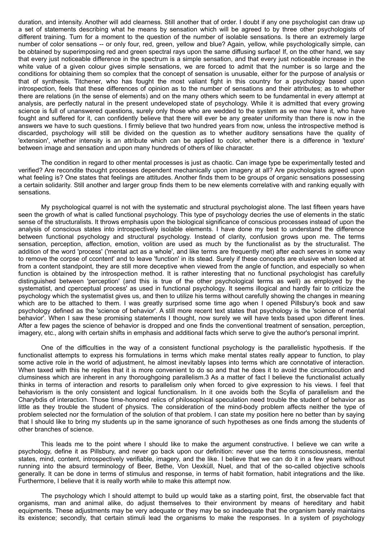duration, and intensity. Another will add clearness. Still another that of order. I doubt if any one psychologist can draw up a set of statements describing what he means by sensation which will be agreed to by three other psychologists of different training. Turn for a moment to the question of the number of isolable sensations. Is there an extremely large number of color sensations -- or only four, red, green, yellow and blue? Again, yellow, while psychologically simple, can be obtained by superimposing red and green spectral rays upon the same diffusing surface! If, on the other hand, we say that every just noticeable difference in the spectrum is a simple sensation, and that every just noticeable increase in the white value of a given colour gives simple sensations, we are forced to admit that the number is so large and the conditions for obtaining them so complex that the concept of sensation is unusable, either for the purpose of analysis or that of synthesis. Titchener, who has fought the most valiant fight in this country for a psychology based upon introspection, feels that these differences of opinion as to the number of sensations and their attributes; as to whether there are relations (in the sense of elements) and on the many others which seem to be fundamental in every attempt at analysis, are perfectly natural in the present undeveloped state of psychology. While it is admitted that every growing science is full of unanswered questions, surely only those who are wedded to the system as we now have it, who have fought and suffered for it, can confidently believe that there will ever be any greater uniformity than there is now in the answers we have to such questions. I firmly believe that two hundred years from now, unless the introspective method is discarded, psychology will still be divided on the question as to whether auditory sensations have the quality of 'extension', whether intensity is an attribute which can be applied to color, whether there is a difference in 'texture' between image and sensation and upon many hundreds of others of like character.

The condition in regard to other mental processes is just as chaotic. Can image type be experimentally tested and verified? Are recondite thought processes dependent mechanically upon imagery at all? Are psychologists agreed upon what feeling is? One states that feelings are attitudes. Another finds them to be groups of organic sensations possessing a certain solidarity. Still another and larger group finds them to be new elements correlative with and ranking equally with sensations.

My psychological quarrel is not with the systematic and structural psychologist alone. The last fifteen years have seen the growth of what is called functional psychology. This type of psychology decries the use of elements in the static sense of the structuralists. It throws emphasis upon the biological significance of conscious processes instead of upon the analysis of conscious states into introspectively isolable elements. I have done my best to understand the difference between functional psychology and structural psychology. Instead of clarity, confusion grows upon me. The terms sensation, perception, affection, emotion, volition are used as much by the functionalist as by the structuralist. The addition of the word 'process' ('mental act as a whole', and like terms are frequently met) after each serves in some way to remove the corpse of ccontent' and to leave 'function' in its stead. Surely if these concepts are elusive when looked at from a content standpoint, they are still more deceptive when viewed from the angle of function, and especially so when function is obtained by the introspection method. It is rather interesting that no functional psychologist has carefully distinguished between 'perception' (and this is true of the other psychological terms as well) as employed by the systematist, and cperceptual process' as used in functional psychology. It seems illogical and hardly fair to criticize the psychology which the systematist gives us, and then to utilize his terms without carefully showing the changes in meaning which are to be attached to them. I was greatly surprised some time ago when I opened Pillsbury's book and saw psychology defined as the 'science of behavior'. A still more recent text states that psychology is the 'science of mental behavior'. When I saw these promising statements I thought, now surely we will have texts based upon different lines. After a few pages the science of behavior is dropped and one finds the conventional treatment of sensation, perception, imagery, etc., along with certain shifts in emphasis and additional facts which serve to give the author's personal imprint.

One of the difficulties in the way of a consistent functional psychology is the parallelistic hypothesis. If the functionalist attempts to express his formulations in terms which make mental states really appear to function, to play some active role in the world of adjustment, he almost inevitably lapses into terms which are connotative of interaction. When taxed with this he replies that it is more convenient to do so and that he does it to avoid the circumlocution and clumsiness which are inherent in any thoroughgoing parallelism.3 As a matter of fact I believe the functionalist actually thinks in terms of interaction and resorts to parallelism only when forced to give expression to his views. I feel that behaviorism is the only consistent and logical functionalism. In it one avoids both the Scylla of parallelism and the Charybdis of interaction. Those time-honored relics of philosophical speculation need trouble the student of behavior as little as they trouble the student of physics. The consideration of the mind-body problem affects neither the type of problem selected nor the formulation of the solution of that problem. I can state my position here no better than by saying that I should like to bring my students up in the same ignorance of such hypotheses as one finds among the students of other branches of science.

This leads me to the point where I should like to make the argument constructive. I believe we can write a psychology, define it as Pillsbury, and never go back upon our definition: never use the terms consciousness, mental states, mind, content, introspectively verifiable, imagery, and the like. I believe that we can do it in a few years without running into the absurd terminology of Beer, Bethe, Von Uexküll, Nuel, and that of the so-called objective schools generally. It can be done in terms of stimulus and response, in terms of habit formation, habit integrations and the like. Furthermore, I believe that it is really worth while to make this attempt now.

The psychology which I should attempt to build up would take as a starting point, first, the observable fact that organisms, man and animal alike, do adjust themselves to their environment by means of hereditary and habit equipments. These adjustments may be very adequate or they may be so inadequate that the organism barely maintains its existence; secondly, that certain stimuli lead the organisms to make the responses. In a system of psychology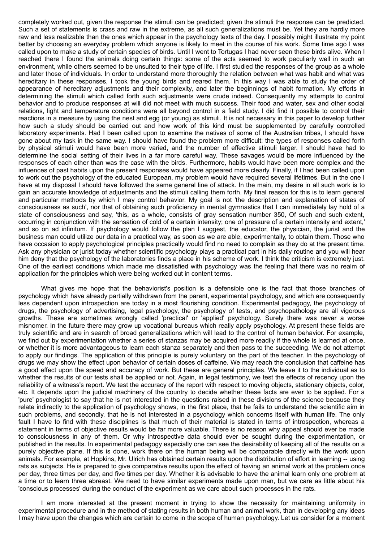completely worked out, given the response the stimuli can be predicted; given the stimuli the response can be predicted. Such a set of statements is crass and raw in the extreme, as all such generalizations must be. Yet they are hardly more raw and less realizable than the ones which appear in the psychology texts of the day. I possibly might illustrate my point better by choosing an everyday problem which anyone is likely to meet in the course of his work. Some time ago I was called upon to make a study of certain species of birds. Until I went to Tortugas I had never seen these birds alive. When I reached there I found the animals doing certain things: some of the acts seemed to work peculiarly well in such an environment, while others seemed to be unsuited to their type of life. I first studied the responses of the group as a whole and later those of individuals. In order to understand more thoroughly the relation between what was habit and what was hereditary in these responses, I took the young birds and reared them. In this way I was able to study the order of appearance of hereditary adjustments and their complexity, and later the beginnings of habit formation. My efforts in determining the stimuli which called forth such adjustments were crude indeed. Consequently my attempts to control behavior and to produce responses at will did not meet with much success. Their food and water, sex and other social relations, light and temperature conditions were all beyond control in a field study. I did find it possible to control their reactions in a measure by using the nest and egg (or young) as stimuli. It is not necessary in this paper to develop further how such a study should be carried out and how work of this kind must be supplemented by carefully controlled laboratory experiments. Had I been called upon to examine the natives of some of the Australian tribes, I should have gone about my task in the same way. I should have found the problem more difficult: the types of responses called forth by physical stimuli would have been more varied, and the number of effective stimuli larger. I should have had to determine the social setting of their lives in a far more careful way. These savages would be more influenced by the responses of each other than was the case with the birds. Furthermore, habits would have been more complex and the influences of past habits upon the present responses would have appeared more clearly. Finally, if I had been called upon to work out the psychology of the educated European, my problem would have required several lifetimes. But in the one I have at my disposal I should have followed the same general line of attack. In the main, my desire in all such work is to gain an accurate knowledge of adjustments and the stimuli calling them forth. My final reason for this is to learn general and particular methods by which I may control behavior. My goal is not 'the description and explanation of states of consciousness as such', nor that of obtaining such proficiency in mental gymnastics that I can immediately lay hold of a state of consciousness and say, 'this, as a whole, consists of gray sensation number 350, Of such and such extent, occurring in conjunction with the sensation of cold of a certain intensity; one of pressure of a certain intensity and extent,' and so on ad infinitum. If psychology would follow the plan I suggest, the educator, the physician, the jurist and the business man could utilize our data in a practical way, as soon as we are able, experimentally, to obtain them. Those who have occasion to apply psychological principles practically would find no need to complain as they do at the present time. Ask any physician or jurist today whether scientific psychology plays a practical part in his daily routine and you will hear him deny that the psychology of the laboratories finds a place in his scheme of work. I think the criticism is extremely just. One of the earliest conditions which made me dissatisfied with psychology was the feeling that there was no realm of application for the principles which were being worked out in content terms.

What gives me hope that the behaviorist's position is a defensible one is the fact that those branches of psychology which have already partially withdrawn from the parent, experimental psychology, and which are consequently less dependent upon introspection are today in a most flourishing condition. Experimental pedagogy, the psychology of drugs, the psychology of advertising, legal psychology, the psychology of tests, and psychopathology are all vigorous growths. These are sometimes wrongly called 'practical' or 'applied' psychology. Surely there was never a worse misnomer. In the future there may grow up vocational bureaus which really apply psychology. At present these fields are truly scientific and are in search of broad generalizations which will lead to the control of human behavior. For example, we find out by experimentation whether a series of stanzas may be acquired more readily if the whole is learned at once, or whether it is more advantageous to learn each stanza separately and then pass to the succeeding. We do not attempt to apply our findings. The application of this principle is purely voluntary on the part of the teacher. In the psychology of drugs we may show the effect upon behavior of certain doses of caffeine. We may reach the conclusion that caffeine has a good effect upon the speed and accuracy of work. But these are general principles. We leave it to the individual as to whether the results of our tests shall be applied or not. Again, in legal testimony, we test the effects of recency upon the reliability of a witness's report. We test the accuracy of the report with respect to moving objects, stationary objects, color, etc. It depends upon the judicial machinery of the country to decide whether these facts are ever to be applied. For a 'pure' psychologist to say that he is not interested in the questions raised in these divisions of the science because they relate indirectly to the application of psychology shows, in the first place, that he fails to understand the scientific aim in such problems, and secondly, that he is not interested in a psychology which concerns itself with human life. The only fault I have to find with these disciplines is that much of their material is stated in terms of introspection, whereas a statement in terms of objective results would be far more valuable. There is no reason why appeal should ever be made to consciousness in any of them. Or why introspective data should ever be sought during the experimentation, or published in the results. In experimental pedagogy especially one can see the desirability of keeping all of the results on a purely objective plane. If this is done, work there on the human being will be comparable directly with the work upon animals. For example, at Hopkins, Mr. Ulrich has obtained certain results upon the distribution of effort in learning -- using rats as subjects. He is prepared to give comparative results upon the effect of having an animal work at the problem once per day, three times per day, and five times per day. Whether it is advisable to have the animal learn only one problem at a time or to learn three abreast. We need to have similar experiments made upon man, but we care as little about his 'conscious processes' during the conduct of the experiment as we care about such processes in the rats.

I am more interested at the present moment in trying to show the necessity for maintaining uniformity in experimental procedure and in the method of stating results in both human and animal work, than in developing any ideas I may have upon the changes which are certain to come in the scope of human psychology. Let us consider for a moment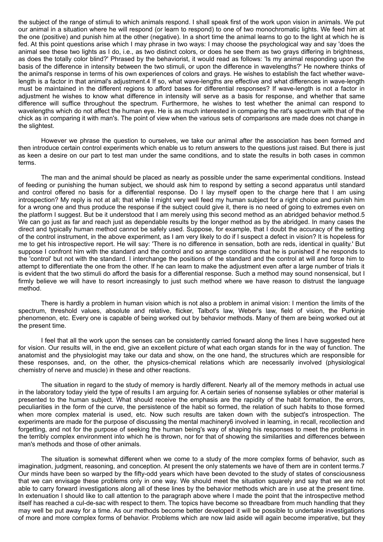the subject of the range of stimuli to which animals respond. I shall speak first of the work upon vision in animals. We put our animal in a situation where he will respond (or learn to respond) to one of two monochromatic lights. We feed him at the one (positive) and punish him at the other (negative). In a short time the animal learns to go to the light at which he is fed. At this point questions arise which I may phrase in two ways: I may choose the psychological way and say 'does the animal see these two lights as I do, i.e., as two distinct colors, or does he see them as two grays differing in brightness, as does the totally color blind?' Phrased by the behaviorist, it would read as follows: 'Is my animal responding upon the basis of the difference in intensity between the two stimuli, or upon the difference in wavelengths?' He nowhere thinks of the animal's response in terms of his own experiences of colors and grays. He wishes to establish the fact whether wavelength is a factor in that animal's adjustment.4 If so, what wave-lengths are effective and what differences in wave-length must be maintained in the different regions to afford bases for differential responses? If wave-length is not a factor in adjustment he wishes to know what difference in intensity will serve as a basis for response, and whether that same difference will suffice throughout the spectrum. Furthermore, he wishes to test whether the animal can respond to wavelengths which do not affect the human eye. He is as much interested in comparing the rat's spectrum with that of the chick as in comparing it with man's. The point of view when the various sets of comparisons are made does not change in the slightest.

However we phrase the question to ourselves, we take our animal after the association has been formed and then introduce certain control experiments which enable us to return answers to the questions just raised. But there is just as keen a desire on our part to test man under the same conditions, and to state the results in both cases in common terms.

The man and the animal should be placed as nearly as possible under the same experimental conditions. Instead of feeding or punishing the human subject, we should ask him to respond by setting a second apparatus until standard and control offered no basis for a differential response. Do I lay myself open to the charge here that I am using introspection? My reply is not at all; that while I might very well feed my human subject for a right choice and punish him for a wrong one and thus produce the response if the subject could give it, there is no need of going to extremes even on the platform I suggest. But be it understood that I am merely using this second method as an abridged behavior method.5 We can go just as far and reach just as dependable results by the longer method as by the abridged. In many cases the direct and typically human method cannot be safely used. Suppose, for example, that I doubt the accuracy of the setting of the control instrument, in the above experiment, as I am very likely to do if I suspect a defect in vision? It is hopeless for me to get his introspective report. He will say: 'There is no difference in sensation, both are reds, identical in quality.' But suppose I confront him with the standard and the control and so arrange conditions that he is punished if he responds to the 'control' but not with the standard. I interchange the positions of the standard and the control at will and force him to attempt to differentiate the one from the other. If he can learn to make the adjustment even after a large number of trials it is evident that the two stimuli do afford the basis for a differential response. Such a method may sound nonsensical, but I firmly believe we will have to resort increasingly to just such method where we have reason to distrust the language method.

There is hardly a problem in human vision which is not also a problem in animal vision: I mention the limits of the spectrum, threshold values, absolute and relative, flicker, Talbot's law, Weber's law, field of vision, the Purkinje phenomenon, etc. Every one is capable of being worked out by behavior methods. Many of them are being worked out at the present time.

I feel that all the work upon the senses can be consistently carried forward along the lines I have suggested here for vision. Our results will, in the end, give an excellent picture of what each organ stands for in the way of function. The anatomist and the physiologist may take our data and show, on the one hand, the structures which are responsible for these responses, and, on the other, the physics-chemical relations which are necessarily involved (physiological chemistry of nerve and muscle) in these and other reactions.

The situation in regard to the study of memory is hardly different. Nearly all of the memory methods in actual use in the laboratory today yield the type of results I am arguing for. A certain series of nonsense syllables or other material is presented to the human subject. What should receive the emphasis are the rapidity of the habit formation, the errors, peculiarities in the form of the curve, the persistence of the habit so formed, the relation of such habits to those formed when more complex material is used, etc. Now such results are taken down with the subject's introspection. The experiments are made for the purpose of discussing the mental machinery6 involved in learning, in recall, recollection and forgetting, and not for the purpose of seeking the human being's way of shaping his responses to meet the problems in the terribly complex environment into which he is thrown, nor for that of showing the similarities and differences between man's methods and those of other animals.

The situation is somewhat different when we come to a study of the more complex forms of behavior, such as imagination, judgment, reasoning, and conception. At present the only statements we have of them are in content terms.7 Our minds have been so warped by the fifty-odd years which have been devoted to the study of states of consciousness that we can envisage these problems only in one way. We should meet the situation squarely and say that we are not able to carry forward investigations along all of these lines by the behavior methods which are in use at the present time. In extenuation I should like to call attention to the paragraph above where I made the point that the introspective method itself has reached a cul-de-sac with respect to them. The topics have become so threadbare from much handling that they may well be put away for a time. As our methods become better developed it will be possible to undertake investigations of more and more complex forms of behavior. Problems which are now laid aside will again become imperative, but they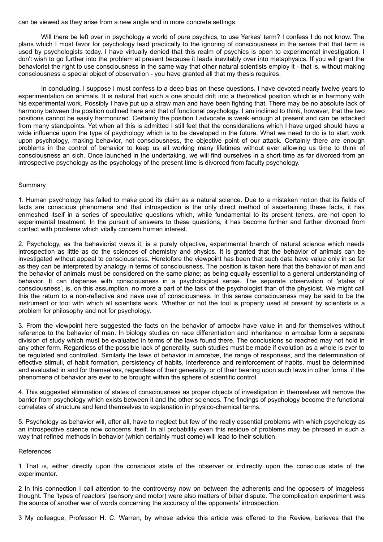can be viewed as they arise from a new angle and in more concrete settings.

Will there be left over in psychology a world of pure psychics, to use Yerkes' term? I confess I do not know. The plans which I most favor for psychology lead practically to the ignoring of consciousness in the sense that that term is used by psychologists today. I have virtually denied that this realm of psychics is open to experimental investigation. I don't wish to go further into the problem at present because it leads inevitably over into metaphysics. If you will grant the behaviorist the right to use consciousness in the same way that other natural scientists employ it - that is, without making consciousness a special object of observation - you have granted all that my thesis requires.

In concluding, I suppose I must confess to a deep bias on these questions. I have devoted nearly twelve years to experimentation on animals. It is natural that such a one should drift into a theoretical position which is in harmony with his experimental work. Possibly I have put up a straw man and have been fighting that. There may be no absolute lack of harmony between the position outlined here and that of functional psychology. I am inclined to think, however, that the two positions cannot be easily harmonized. Certainly the position I advocate is weak enough at present and can be attacked from many standpoints. Yet when all this is admitted I still feel that the considerations which I have urged should have a wide influence upon the type of psychology which is to be developed in the future. What we need to do is to start work upon psychology, making behavior, not consciousness, the objective point of our attack. Certainly there are enough problems in the control of behavior to keep us all working many lifetimes without ever allowing us time to think of consciousness an sich. Once launched in the undertaking, we will find ourselves in a short time as far divorced from an introspective psychology as the psychology of the present time is divorced from faculty psychology.

## **Summary**

1. Human psychology has failed to make good its claim as a natural science. Due to a mistaken notion that its fields of facts are conscious phenomena and that introspection is the only direct method of ascertaining these facts, it has enmeshed itself in a series of speculative questions which, while fundamental to its present tenets, are not open to experimental treatment. In the pursuit of answers to these questions, it has become further and further divorced from contact with problems which vitally concern human interest.

2. Psychology, as the behaviorist views it, is a purely objective, experimental branch of natural science which needs introspection as little as do the sciences of chemistry and physics. It is granted that the behavior of animals can be investigated without appeal to consciousness. Heretofore the viewpoint has been that such data have value only in so far as they can be interpreted by analogy in terms of consciousness. The position is taken here that the behavior of man and the behavior of animals must be considered on the same plane; as being equally essential to a general understanding of behavior. It can dispense with consciousness in a psychological sense. The separate observation of 'states of consciousness', is, on this assumption, no more a part of the task of the psychologist than of the physicist. We might call this the return to a non-reflective and nave use of consciousness. In this sense consciousness may be said to be the instrument or tool with which all scientists work. Whether or not the tool is properly used at present by scientists is a problem for philosophy and not for psychology.

3. From the viewpoint here suggested the facts on the behavior of amoebx have value in and for themselves without reference to the behavior of man. In biology studies on race differentiation and inheritance in amœbæ form a separate division of study which must be evaluated in terms of the laws found there. The conclusions so reached may not hold in any other form. Regardless of the possible lack of generality, such studies must be made if evolution as a whole is ever to be regulated and controlled. Similarly the laws of behavior in amœbæ, the range of responses, and the determination of effective stimuli, of habit formation, persistency of habits, interference and reinforcement of habits, must be determined and evaluated in and for themselves, regardless of their generality, or of their bearing upon such laws in other forms, if the phenomena of behavior are ever to be brought within the sphere of scientific control.

4. This suggested elimination of states of consciousness as proper objects of investigation in themselves will remove the barrier from psychology which exists between it and the other sciences. The findings of psychology become the functional correlates of structure and lend themselves to explanation in physico-chemical terms.

5. Psychology as behavior will, after all, have to neglect but few of the really essential problems with which psychology as an introspective science now concerns itself. In all probability even this residue of problems may be phrased in such a way that refined methods in behavior (which certainly must come) will lead to their solution.

## References

1 That is, either directly upon the conscious state of the observer or indirectly upon the conscious state of the experimenter.

2 In this connection I call attention to the controversy now on between the adherents and the opposers of imageless thought. The 'types of reactors' (sensory and motor) were also matters of bitter dispute. The complication experiment was the source of another war of words concerning the accuracy of the opponents' introspection.

3 My colleague, Professor H. C. Warren, by whose advice this article was offered to the Review, believes that the